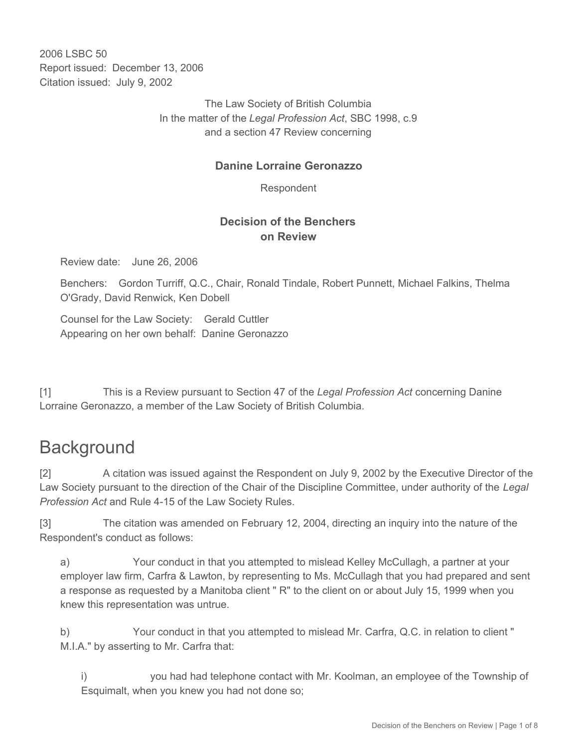2006 LSBC 50 Report issued: December 13, 2006 Citation issued: July 9, 2002

> The Law Society of British Columbia In the matter of the *Legal Profession Act*, SBC 1998, c.9 and a section 47 Review concerning

### **Danine Lorraine Geronazzo**

Respondent

### **Decision of the Benchers on Review**

Review date: June 26, 2006

Benchers: Gordon Turriff, Q.C., Chair, Ronald Tindale, Robert Punnett, Michael Falkins, Thelma O'Grady, David Renwick, Ken Dobell

Counsel for the Law Society: Gerald Cuttler Appearing on her own behalf: Danine Geronazzo

[1] This is a Review pursuant to Section 47 of the *Legal Profession Act* concerning Danine Lorraine Geronazzo, a member of the Law Society of British Columbia.

# **Background**

[2] A citation was issued against the Respondent on July 9, 2002 by the Executive Director of the Law Society pursuant to the direction of the Chair of the Discipline Committee, under authority of the *Legal Profession Act* and Rule 4-15 of the Law Society Rules.

[3] The citation was amended on February 12, 2004, directing an inquiry into the nature of the Respondent's conduct as follows:

a) Your conduct in that you attempted to mislead Kelley McCullagh, a partner at your employer law firm, Carfra & Lawton, by representing to Ms. McCullagh that you had prepared and sent a response as requested by a Manitoba client " R" to the client on or about July 15, 1999 when you knew this representation was untrue.

b) Your conduct in that you attempted to mislead Mr. Carfra, Q.C. in relation to client " M.I.A." by asserting to Mr. Carfra that:

i) you had had telephone contact with Mr. Koolman, an employee of the Township of Esquimalt, when you knew you had not done so;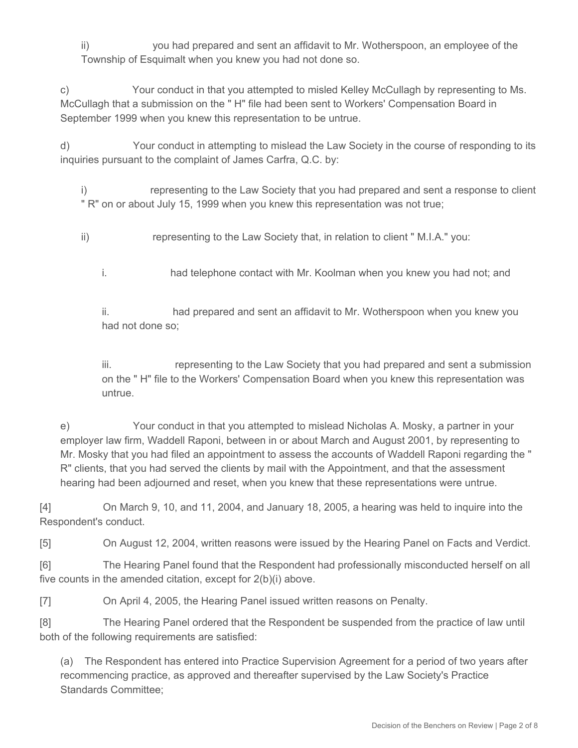ii) you had prepared and sent an affidavit to Mr. Wotherspoon, an employee of the Township of Esquimalt when you knew you had not done so.

c) Your conduct in that you attempted to misled Kelley McCullagh by representing to Ms. McCullagh that a submission on the " H" file had been sent to Workers' Compensation Board in September 1999 when you knew this representation to be untrue.

d) Your conduct in attempting to mislead the Law Society in the course of responding to its inquiries pursuant to the complaint of James Carfra, Q.C. by:

i) representing to the Law Society that you had prepared and sent a response to client " R" on or about July 15, 1999 when you knew this representation was not true;

- ii) representing to the Law Society that, in relation to client " M.I.A." you:
	- i. had telephone contact with Mr. Koolman when you knew you had not; and

ii. had prepared and sent an affidavit to Mr. Wotherspoon when you knew you had not done so;

iii. representing to the Law Society that you had prepared and sent a submission on the " H" file to the Workers' Compensation Board when you knew this representation was untrue.

e) Your conduct in that you attempted to mislead Nicholas A. Mosky, a partner in your employer law firm, Waddell Raponi, between in or about March and August 2001, by representing to Mr. Mosky that you had filed an appointment to assess the accounts of Waddell Raponi regarding the " R" clients, that you had served the clients by mail with the Appointment, and that the assessment hearing had been adjourned and reset, when you knew that these representations were untrue.

[4] On March 9, 10, and 11, 2004, and January 18, 2005, a hearing was held to inquire into the Respondent's conduct.

[5] On August 12, 2004, written reasons were issued by the Hearing Panel on Facts and Verdict.

[6] The Hearing Panel found that the Respondent had professionally misconducted herself on all five counts in the amended citation, except for 2(b)(i) above.

[7] On April 4, 2005, the Hearing Panel issued written reasons on Penalty.

[8] The Hearing Panel ordered that the Respondent be suspended from the practice of law until both of the following requirements are satisfied:

(a) The Respondent has entered into Practice Supervision Agreement for a period of two years after recommencing practice, as approved and thereafter supervised by the Law Society's Practice Standards Committee;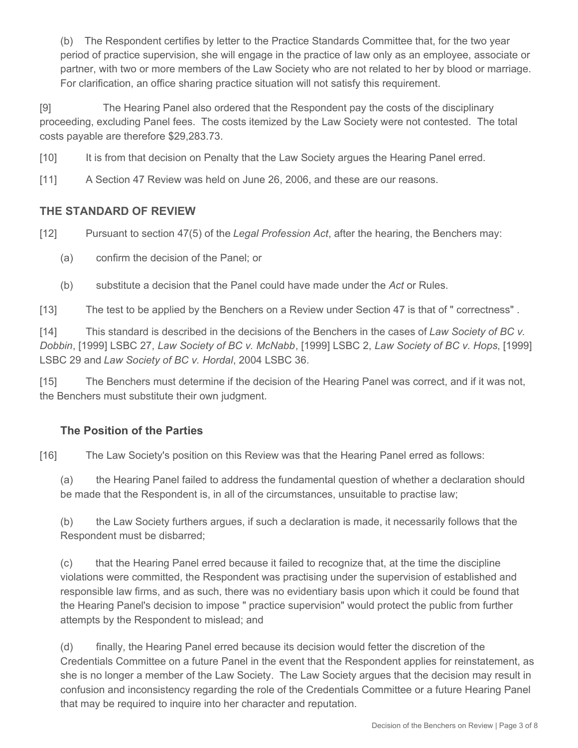(b) The Respondent certifies by letter to the Practice Standards Committee that, for the two year period of practice supervision, she will engage in the practice of law only as an employee, associate or partner, with two or more members of the Law Society who are not related to her by blood or marriage. For clarification, an office sharing practice situation will not satisfy this requirement.

[9] The Hearing Panel also ordered that the Respondent pay the costs of the disciplinary proceeding, excluding Panel fees. The costs itemized by the Law Society were not contested. The total costs payable are therefore \$29,283.73.

[10] It is from that decision on Penalty that the Law Society argues the Hearing Panel erred.

[11] A Section 47 Review was held on June 26, 2006, and these are our reasons.

#### **THE STANDARD OF REVIEW**

[12] Pursuant to section 47(5) of the *Legal Profession Act*, after the hearing, the Benchers may:

(a) confirm the decision of the Panel; or

(b) substitute a decision that the Panel could have made under the *Act* or Rules.

[13] The test to be applied by the Benchers on a Review under Section 47 is that of " correctness" .

[14] This standard is described in the decisions of the Benchers in the cases of *Law Society of BC v. Dobbin*, [1999] LSBC 27, *Law Society of BC v. McNabb*, [1999] LSBC 2, *Law Society of BC v. Hops*, [1999] LSBC 29 and *Law Society of BC v. Hordal*, 2004 LSBC 36.

[15] The Benchers must determine if the decision of the Hearing Panel was correct, and if it was not, the Benchers must substitute their own judgment.

#### **The Position of the Parties**

[16] The Law Society's position on this Review was that the Hearing Panel erred as follows:

(a) the Hearing Panel failed to address the fundamental question of whether a declaration should be made that the Respondent is, in all of the circumstances, unsuitable to practise law;

(b) the Law Society furthers argues, if such a declaration is made, it necessarily follows that the Respondent must be disbarred;

(c) that the Hearing Panel erred because it failed to recognize that, at the time the discipline violations were committed, the Respondent was practising under the supervision of established and responsible law firms, and as such, there was no evidentiary basis upon which it could be found that the Hearing Panel's decision to impose " practice supervision" would protect the public from further attempts by the Respondent to mislead; and

(d) finally, the Hearing Panel erred because its decision would fetter the discretion of the Credentials Committee on a future Panel in the event that the Respondent applies for reinstatement, as she is no longer a member of the Law Society. The Law Society argues that the decision may result in confusion and inconsistency regarding the role of the Credentials Committee or a future Hearing Panel that may be required to inquire into her character and reputation.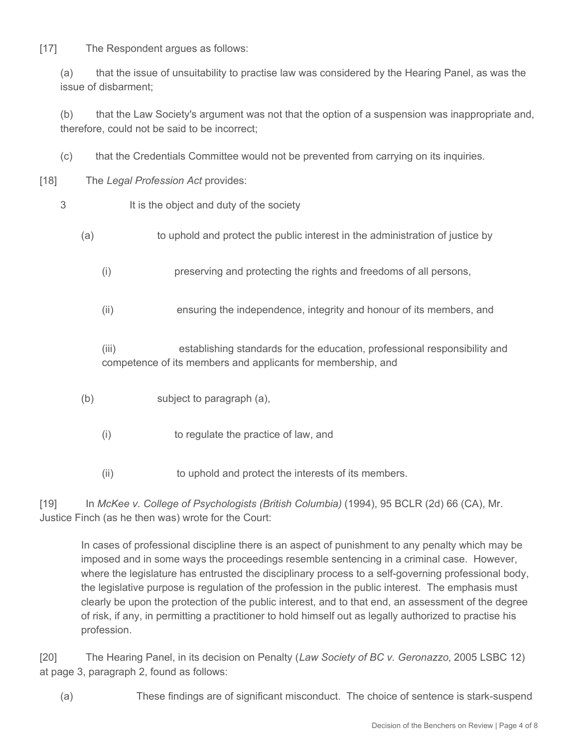[17] The Respondent arques as follows:

(a) that the issue of unsuitability to practise law was considered by the Hearing Panel, as was the issue of disbarment;

(b) that the Law Society's argument was not that the option of a suspension was inappropriate and, therefore, could not be said to be incorrect;

- (c) that the Credentials Committee would not be prevented from carrying on its inquiries.
- [18] The *Legal Profession Act* provides:
	- 3 It is the object and duty of the society
		- (a) to uphold and protect the public interest in the administration of justice by
			- (i) preserving and protecting the rights and freedoms of all persons,
			- (ii) ensuring the independence, integrity and honour of its members, and

(iii) establishing standards for the education, professional responsibility and competence of its members and applicants for membership, and

- (b) subject to paragraph (a),
	- (i) to regulate the practice of law, and
	- (ii) to uphold and protect the interests of its members.

[19] In *McKee v. College of Psychologists (British Columbia)* (1994), 95 BCLR (2d) 66 (CA), Mr. Justice Finch (as he then was) wrote for the Court:

In cases of professional discipline there is an aspect of punishment to any penalty which may be imposed and in some ways the proceedings resemble sentencing in a criminal case. However, where the legislature has entrusted the disciplinary process to a self-governing professional body, the legislative purpose is regulation of the profession in the public interest. The emphasis must clearly be upon the protection of the public interest, and to that end, an assessment of the degree of risk, if any, in permitting a practitioner to hold himself out as legally authorized to practise his profession.

[20] The Hearing Panel, in its decision on Penalty (*Law Society of BC v. Geronazzo*, 2005 LSBC 12) at page 3, paragraph 2, found as follows:

(a) These findings are of significant misconduct. The choice of sentence is stark-suspend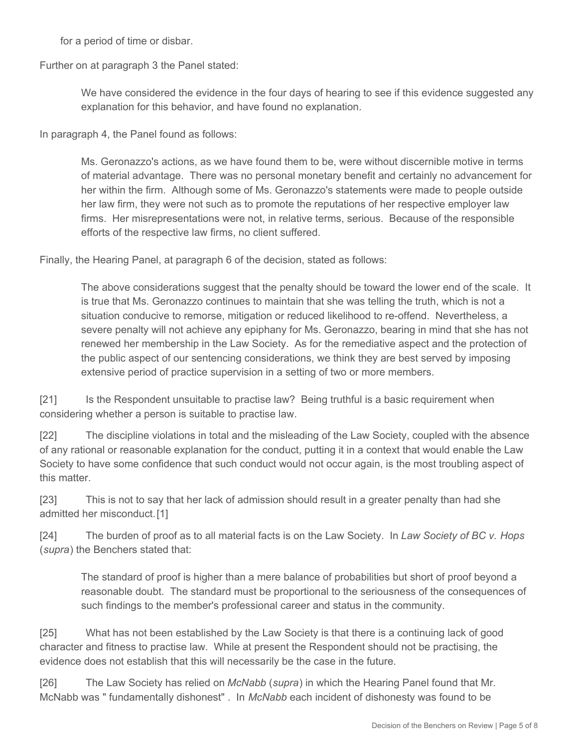for a period of time or disbar.

Further on at paragraph 3 the Panel stated:

We have considered the evidence in the four days of hearing to see if this evidence suggested any explanation for this behavior, and have found no explanation.

In paragraph 4, the Panel found as follows:

Ms. Geronazzo's actions, as we have found them to be, were without discernible motive in terms of material advantage. There was no personal monetary benefit and certainly no advancement for her within the firm. Although some of Ms. Geronazzo's statements were made to people outside her law firm, they were not such as to promote the reputations of her respective employer law firms. Her misrepresentations were not, in relative terms, serious. Because of the responsible efforts of the respective law firms, no client suffered.

Finally, the Hearing Panel, at paragraph 6 of the decision, stated as follows:

The above considerations suggest that the penalty should be toward the lower end of the scale. It is true that Ms. Geronazzo continues to maintain that she was telling the truth, which is not a situation conducive to remorse, mitigation or reduced likelihood to re-offend. Nevertheless, a severe penalty will not achieve any epiphany for Ms. Geronazzo, bearing in mind that she has not renewed her membership in the Law Society. As for the remediative aspect and the protection of the public aspect of our sentencing considerations, we think they are best served by imposing extensive period of practice supervision in a setting of two or more members.

[21] Is the Respondent unsuitable to practise law? Being truthful is a basic requirement when considering whether a person is suitable to practise law.

[22] The discipline violations in total and the misleading of the Law Society, coupled with the absence of any rational or reasonable explanation for the conduct, putting it in a context that would enable the Law Society to have some confidence that such conduct would not occur again, is the most troubling aspect of this matter.

[23] This is not to say that her lack of admission should result in a greater penalty than had she admitted her misconduct.[1]

[24] The burden of proof as to all material facts is on the Law Society. In *Law Society of BC v. Hops*  (*supra*) the Benchers stated that:

The standard of proof is higher than a mere balance of probabilities but short of proof beyond a reasonable doubt. The standard must be proportional to the seriousness of the consequences of such findings to the member's professional career and status in the community.

[25] What has not been established by the Law Society is that there is a continuing lack of good character and fitness to practise law. While at present the Respondent should not be practising, the evidence does not establish that this will necessarily be the case in the future.

[26] The Law Society has relied on *McNabb* (*supra*) in which the Hearing Panel found that Mr. McNabb was " fundamentally dishonest" . In *McNabb* each incident of dishonesty was found to be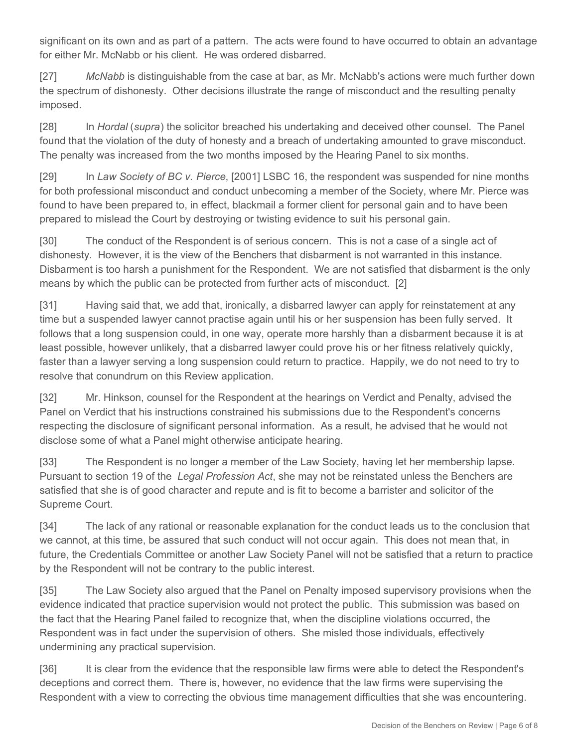significant on its own and as part of a pattern. The acts were found to have occurred to obtain an advantage for either Mr. McNabb or his client. He was ordered disbarred.

[27] *McNabb* is distinguishable from the case at bar, as Mr. McNabb's actions were much further down the spectrum of dishonesty. Other decisions illustrate the range of misconduct and the resulting penalty imposed.

[28] In *Hordal* (*supra*) the solicitor breached his undertaking and deceived other counsel. The Panel found that the violation of the duty of honesty and a breach of undertaking amounted to grave misconduct. The penalty was increased from the two months imposed by the Hearing Panel to six months.

[29] In *Law Society of BC v. Pierce*, [2001] LSBC 16, the respondent was suspended for nine months for both professional misconduct and conduct unbecoming a member of the Society, where Mr. Pierce was found to have been prepared to, in effect, blackmail a former client for personal gain and to have been prepared to mislead the Court by destroying or twisting evidence to suit his personal gain.

[30] The conduct of the Respondent is of serious concern. This is not a case of a single act of dishonesty. However, it is the view of the Benchers that disbarment is not warranted in this instance. Disbarment is too harsh a punishment for the Respondent. We are not satisfied that disbarment is the only means by which the public can be protected from further acts of misconduct. [2]

[31] Having said that, we add that, ironically, a disbarred lawyer can apply for reinstatement at any time but a suspended lawyer cannot practise again until his or her suspension has been fully served. It follows that a long suspension could, in one way, operate more harshly than a disbarment because it is at least possible, however unlikely, that a disbarred lawyer could prove his or her fitness relatively quickly, faster than a lawyer serving a long suspension could return to practice. Happily, we do not need to try to resolve that conundrum on this Review application.

[32] Mr. Hinkson, counsel for the Respondent at the hearings on Verdict and Penalty, advised the Panel on Verdict that his instructions constrained his submissions due to the Respondent's concerns respecting the disclosure of significant personal information. As a result, he advised that he would not disclose some of what a Panel might otherwise anticipate hearing.

[33] The Respondent is no longer a member of the Law Society, having let her membership lapse. Pursuant to section 19 of the *Legal Profession Act*, she may not be reinstated unless the Benchers are satisfied that she is of good character and repute and is fit to become a barrister and solicitor of the Supreme Court.

[34] The lack of any rational or reasonable explanation for the conduct leads us to the conclusion that we cannot, at this time, be assured that such conduct will not occur again. This does not mean that, in future, the Credentials Committee or another Law Society Panel will not be satisfied that a return to practice by the Respondent will not be contrary to the public interest.

[35] The Law Society also argued that the Panel on Penalty imposed supervisory provisions when the evidence indicated that practice supervision would not protect the public. This submission was based on the fact that the Hearing Panel failed to recognize that, when the discipline violations occurred, the Respondent was in fact under the supervision of others. She misled those individuals, effectively undermining any practical supervision.

[36] It is clear from the evidence that the responsible law firms were able to detect the Respondent's deceptions and correct them. There is, however, no evidence that the law firms were supervising the Respondent with a view to correcting the obvious time management difficulties that she was encountering.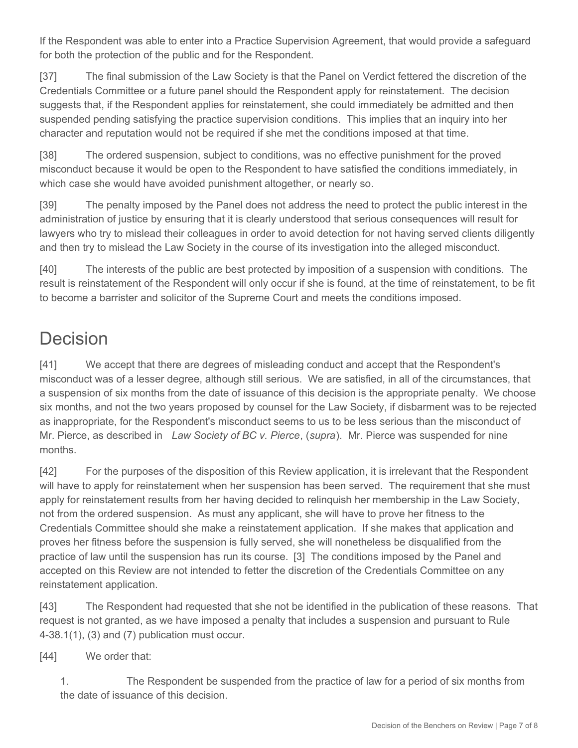If the Respondent was able to enter into a Practice Supervision Agreement, that would provide a safeguard for both the protection of the public and for the Respondent.

[37] The final submission of the Law Society is that the Panel on Verdict fettered the discretion of the Credentials Committee or a future panel should the Respondent apply for reinstatement. The decision suggests that, if the Respondent applies for reinstatement, she could immediately be admitted and then suspended pending satisfying the practice supervision conditions. This implies that an inquiry into her character and reputation would not be required if she met the conditions imposed at that time.

[38] The ordered suspension, subject to conditions, was no effective punishment for the proved misconduct because it would be open to the Respondent to have satisfied the conditions immediately, in which case she would have avoided punishment altogether, or nearly so.

[39] The penalty imposed by the Panel does not address the need to protect the public interest in the administration of justice by ensuring that it is clearly understood that serious consequences will result for lawyers who try to mislead their colleagues in order to avoid detection for not having served clients diligently and then try to mislead the Law Society in the course of its investigation into the alleged misconduct.

[40] The interests of the public are best protected by imposition of a suspension with conditions. The result is reinstatement of the Respondent will only occur if she is found, at the time of reinstatement, to be fit to become a barrister and solicitor of the Supreme Court and meets the conditions imposed.

# Decision

[41] We accept that there are degrees of misleading conduct and accept that the Respondent's misconduct was of a lesser degree, although still serious. We are satisfied, in all of the circumstances, that a suspension of six months from the date of issuance of this decision is the appropriate penalty. We choose six months, and not the two years proposed by counsel for the Law Society, if disbarment was to be rejected as inappropriate, for the Respondent's misconduct seems to us to be less serious than the misconduct of Mr. Pierce, as described in *Law Society of BC v. Pierce*, (*supra*). Mr. Pierce was suspended for nine months.

[42] For the purposes of the disposition of this Review application, it is irrelevant that the Respondent will have to apply for reinstatement when her suspension has been served. The requirement that she must apply for reinstatement results from her having decided to relinquish her membership in the Law Society, not from the ordered suspension. As must any applicant, she will have to prove her fitness to the Credentials Committee should she make a reinstatement application. If she makes that application and proves her fitness before the suspension is fully served, she will nonetheless be disqualified from the practice of law until the suspension has run its course. [3] The conditions imposed by the Panel and accepted on this Review are not intended to fetter the discretion of the Credentials Committee on any reinstatement application.

[43] The Respondent had requested that she not be identified in the publication of these reasons. That request is not granted, as we have imposed a penalty that includes a suspension and pursuant to Rule 4-38.1(1), (3) and (7) publication must occur.

[44] We order that:

1. The Respondent be suspended from the practice of law for a period of six months from the date of issuance of this decision.